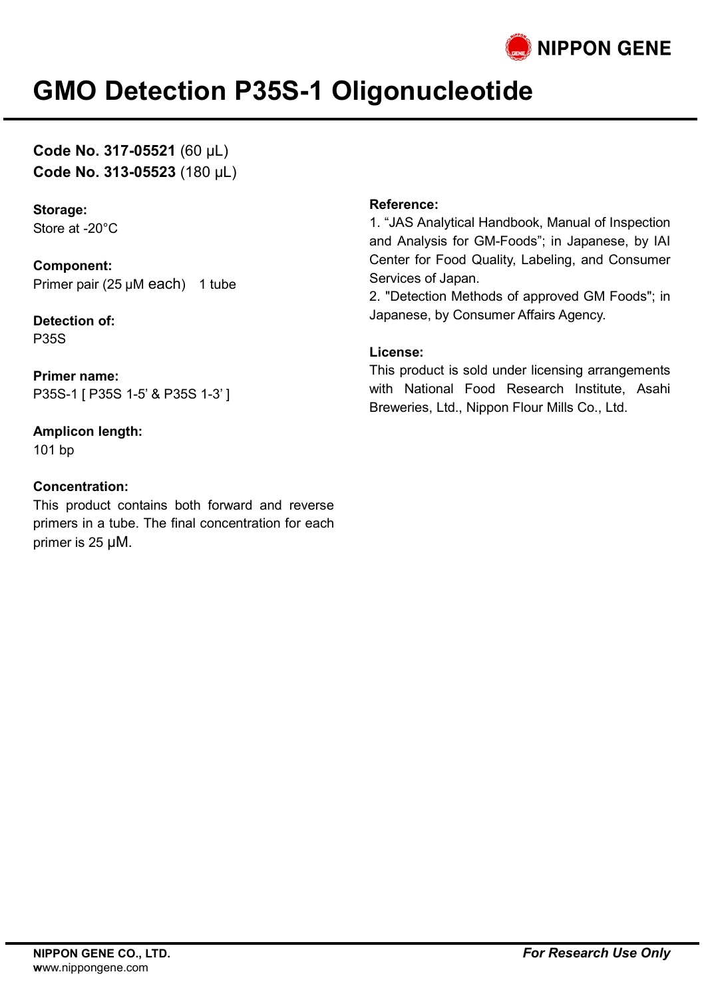

## **GMO Detection P35S-1 Oligonucleotide**

**Code No. 317-05521** (60 µL) **Code No. 313-05523** (180 µL)

#### **Storage:** Store at -20°C

**Component:** Primer pair (25 µM each) 1 tube

**Detection of:** P35S

**Primer name:** P35S-1 [ P35S 1-5' & P35S 1-3' ]

## **Amplicon length:**

101 bp

## **Concentration:**

This product contains both forward and reverse primers in a tube. The final concentration for each primer is 25 µM.

### **Reference:**

1. "JAS Analytical Handbook, Manual of Inspection and Analysis for GM-Foods"; in Japanese, by IAI Center for Food Quality, Labeling, and Consumer Services of Japan.

2. "Detection Methods of approved GM Foods"; in Japanese, by Consumer Affairs Agency.

#### **License:**

This product is sold under licensing arrangements with National Food Research Institute, Asahi Breweries, Ltd., Nippon Flour Mills Co., Ltd.